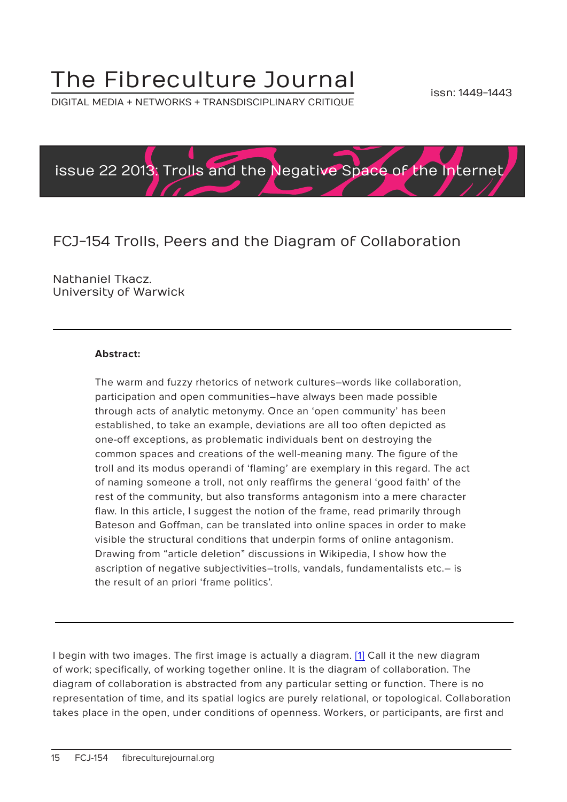## The Fibreculture Journal

DIGITAL MEDIA + NETWORKS + TRANSDISCIPLINARY CRITIQUE



### FCJ-154 Trolls, Peers and the Diagram of Collaboration

Nathaniel Tkacz. University of Warwick

#### **Abstract:**

The warm and fuzzy rhetorics of network cultures–words like collaboration, participation and open communities–have always been made possible through acts of analytic metonymy. Once an 'open community' has been established, to take an example, deviations are all too often depicted as one-off exceptions, as problematic individuals bent on destroying the common spaces and creations of the well-meaning many. The figure of the troll and its modus operandi of 'flaming' are exemplary in this regard. The act of naming someone a troll, not only reaffirms the general 'good faith' of the rest of the community, but also transforms antagonism into a mere character flaw. In this article, I suggest the notion of the frame, read primarily through Bateson and Goffman, can be translated into online spaces in order to make visible the structural conditions that underpin forms of online antagonism. Drawing from "article deletion" discussions in Wikipedia, I show how the ascription of negative subjectivities–trolls, vandals, fundamentalists etc.– is the result of an priori 'frame politics'.

I begin with two images. The first image is actually a diagram. [1] Call it the new diagram of work; specifically, of working together online. It is the diagram of collaboration. The diagram of collaboration is abstracted from any particular setting or function. There is no representation of time, and its spatial logics are purely relational, or topological. Collaboration takes place in the open, under conditions of openness. Workers, or participants, are first and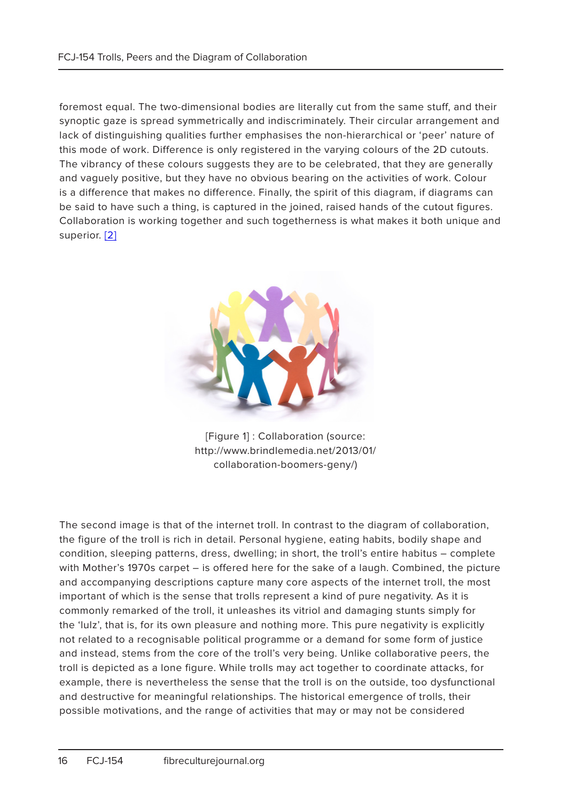foremost equal. The two-dimensional bodies are literally cut from the same stuff, and their synoptic gaze is spread symmetrically and indiscriminately. Their circular arrangement and lack of distinguishing qualities further emphasises the non-hierarchical or 'peer' nature of this mode of work. Difference is only registered in the varying colours of the 2D cutouts. The vibrancy of these colours suggests they are to be celebrated, that they are generally and vaguely positive, but they have no obvious bearing on the activities of work. Colour is a difference that makes no difference. Finally, the spirit of this diagram, if diagrams can be said to have such a thing, is captured in the joined, raised hands of the cutout figures. Collaboration is working together and such togetherness is what makes it both unique and superior. [2]



[Figure 1] : Collaboration (source: http://www.brindlemedia.net/2013/01/ collaboration-boomers-geny/)

The second image is that of the internet troll. In contrast to the diagram of collaboration, the figure of the troll is rich in detail. Personal hygiene, eating habits, bodily shape and condition, sleeping patterns, dress, dwelling; in short, the troll's entire habitus – complete with Mother's 1970s carpet – is offered here for the sake of a laugh. Combined, the picture and accompanying descriptions capture many core aspects of the internet troll, the most important of which is the sense that trolls represent a kind of pure negativity. As it is commonly remarked of the troll, it unleashes its vitriol and damaging stunts simply for the 'lulz', that is, for its own pleasure and nothing more. This pure negativity is explicitly not related to a recognisable political programme or a demand for some form of justice and instead, stems from the core of the troll's very being. Unlike collaborative peers, the troll is depicted as a lone figure. While trolls may act together to coordinate attacks, for example, there is nevertheless the sense that the troll is on the outside, too dysfunctional and destructive for meaningful relationships. The historical emergence of trolls, their possible motivations, and the range of activities that may or may not be considered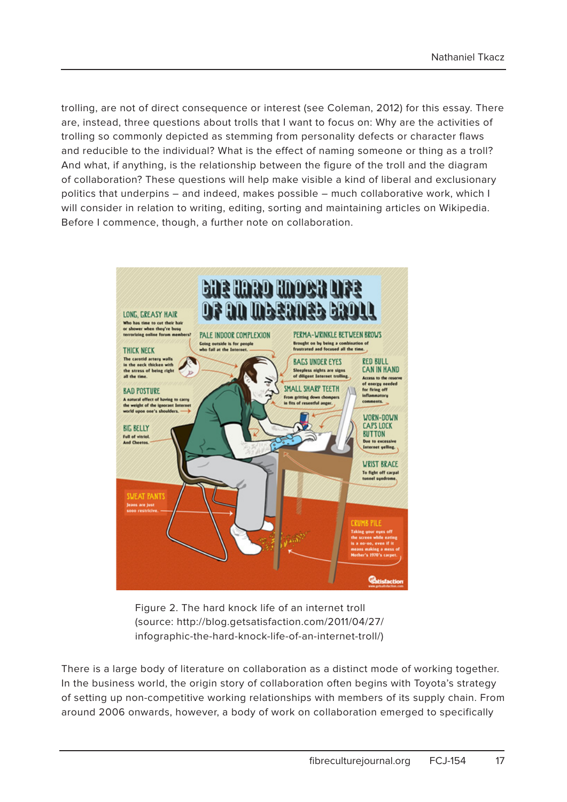trolling, are not of direct consequence or interest (see Coleman, 2012) for this essay. There are, instead, three questions about trolls that I want to focus on: Why are the activities of trolling so commonly depicted as stemming from personality defects or character flaws and reducible to the individual? What is the effect of naming someone or thing as a troll? And what, if anything, is the relationship between the figure of the troll and the diagram of collaboration? These questions will help make visible a kind of liberal and exclusionary politics that underpins – and indeed, makes possible – much collaborative work, which I will consider in relation to writing, editing, sorting and maintaining articles on Wikipedia. Before I commence, though, a further note on collaboration.



Figure 2. The hard knock life of an internet troll (source: http://blog.getsatisfaction.com/2011/04/27/ infographic-the-hard-knock-life-of-an-internet-troll/)

There is a large body of literature on collaboration as a distinct mode of working together. In the business world, the origin story of collaboration often begins with Toyota's strategy of setting up non-competitive working relationships with members of its supply chain. From around 2006 onwards, however, a body of work on collaboration emerged to specifically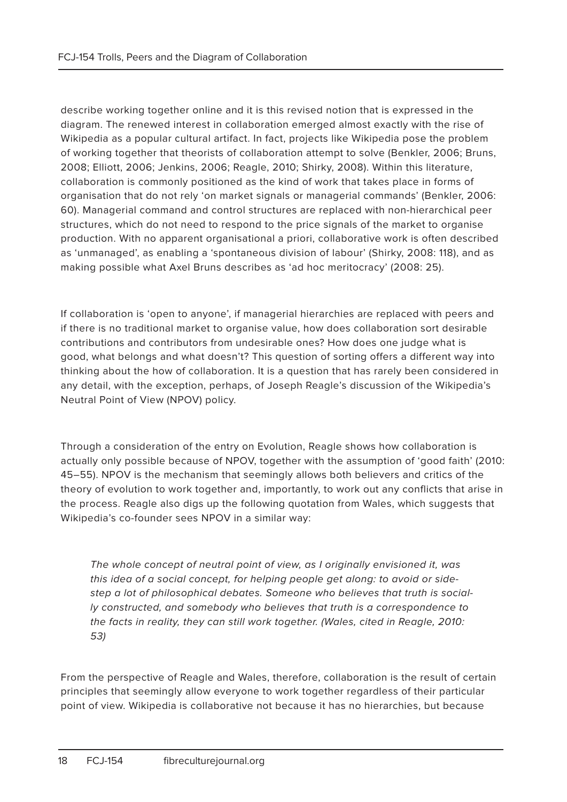describe working together online and it is this revised notion that is expressed in the diagram. The renewed interest in collaboration emerged almost exactly with the rise of Wikipedia as a popular cultural artifact. In fact, projects like Wikipedia pose the problem of working together that theorists of collaboration attempt to solve (Benkler, 2006; Bruns, 2008; Elliott, 2006; Jenkins, 2006; Reagle, 2010; Shirky, 2008). Within this literature, collaboration is commonly positioned as the kind of work that takes place in forms of organisation that do not rely 'on market signals or managerial commands' (Benkler, 2006: 60). Managerial command and control structures are replaced with non-hierarchical peer structures, which do not need to respond to the price signals of the market to organise production. With no apparent organisational a priori, collaborative work is often described as 'unmanaged', as enabling a 'spontaneous division of labour' (Shirky, 2008: 118), and as making possible what Axel Bruns describes as 'ad hoc meritocracy' (2008: 25).

If collaboration is 'open to anyone', if managerial hierarchies are replaced with peers and if there is no traditional market to organise value, how does collaboration sort desirable contributions and contributors from undesirable ones? How does one judge what is good, what belongs and what doesn't? This question of sorting offers a different way into thinking about the how of collaboration. It is a question that has rarely been considered in any detail, with the exception, perhaps, of Joseph Reagle's discussion of the Wikipedia's Neutral Point of View (NPOV) policy.

Through a consideration of the entry on Evolution, Reagle shows how collaboration is actually only possible because of NPOV, together with the assumption of 'good faith' (2010: 45–55). NPOV is the mechanism that seemingly allows both believers and critics of the theory of evolution to work together and, importantly, to work out any conflicts that arise in the process. Reagle also digs up the following quotation from Wales, which suggests that Wikipedia's co-founder sees NPOV in a similar way:

The whole concept of neutral point of view, as I originally envisioned it, was this idea of a social concept, for helping people get along: to avoid or sidestep a lot of philosophical debates. Someone who believes that truth is socially constructed, and somebody who believes that truth is a correspondence to the facts in reality, they can still work together. (Wales, cited in Reagle, 2010: 53)

From the perspective of Reagle and Wales, therefore, collaboration is the result of certain principles that seemingly allow everyone to work together regardless of their particular point of view. Wikipedia is collaborative not because it has no hierarchies, but because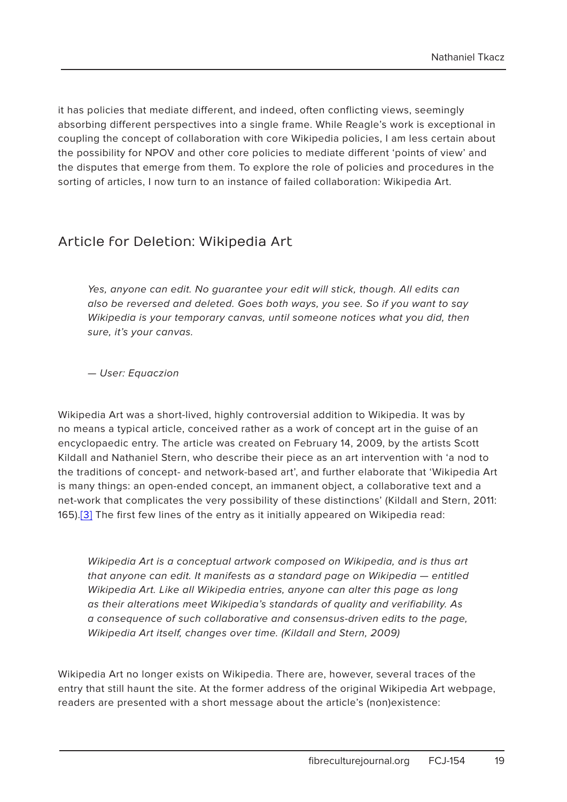it has policies that mediate different, and indeed, often conflicting views, seemingly absorbing different perspectives into a single frame. While Reagle's work is exceptional in coupling the concept of collaboration with core Wikipedia policies, I am less certain about the possibility for NPOV and other core policies to mediate different 'points of view' and the disputes that emerge from them. To explore the role of policies and procedures in the sorting of articles, I now turn to an instance of failed collaboration: Wikipedia Art.

#### Article for Deletion: Wikipedia Art

Yes, anyone can edit. No guarantee your edit will stick, though. All edits can also be reversed and deleted. Goes both ways, you see. So if you want to say Wikipedia is your temporary canvas, until someone notices what you did, then sure, it's your canvas.

— User: Equaczion

Wikipedia Art was a short-lived, highly controversial addition to Wikipedia. It was by no means a typical article, conceived rather as a work of concept art in the guise of an encyclopaedic entry. The article was created on February 14, 2009, by the artists Scott Kildall and Nathaniel Stern, who describe their piece as an art intervention with 'a nod to the traditions of concept- and network-based art', and further elaborate that 'Wikipedia Art is many things: an open-ended concept, an immanent object, a collaborative text and a net-work that complicates the very possibility of these distinctions' (Kildall and Stern, 2011: 165).[3] The first few lines of the entry as it initially appeared on Wikipedia read:

Wikipedia Art is a conceptual artwork composed on Wikipedia, and is thus art that anyone can edit. It manifests as a standard page on Wikipedia — entitled Wikipedia Art. Like all Wikipedia entries, anyone can alter this page as long as their alterations meet Wikipedia's standards of quality and verifiability. As a consequence of such collaborative and consensus-driven edits to the page, Wikipedia Art itself, changes over time. (Kildall and Stern, 2009)

Wikipedia Art no longer exists on Wikipedia. There are, however, several traces of the entry that still haunt the site. At the former address of the original Wikipedia Art webpage, readers are presented with a short message about the article's (non)existence: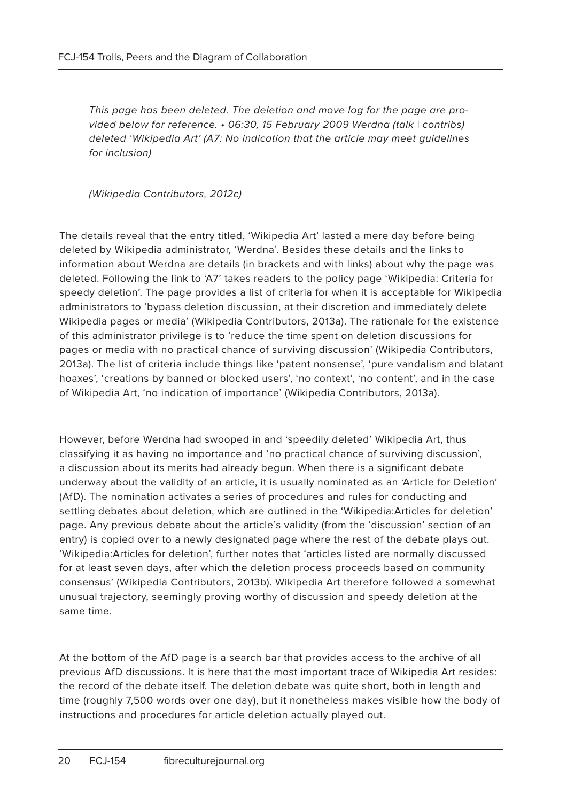This page has been deleted. The deletion and move log for the page are provided below for reference. • 06:30, 15 February 2009 Werdna (talk | contribs) deleted 'Wikipedia Art' (A7: No indication that the article may meet guidelines for inclusion)

(Wikipedia Contributors, 2012c)

The details reveal that the entry titled, 'Wikipedia Art' lasted a mere day before being deleted by Wikipedia administrator, 'Werdna'. Besides these details and the links to information about Werdna are details (in brackets and with links) about why the page was deleted. Following the link to 'A7' takes readers to the policy page 'Wikipedia: Criteria for speedy deletion'. The page provides a list of criteria for when it is acceptable for Wikipedia administrators to 'bypass deletion discussion, at their discretion and immediately delete Wikipedia pages or media' (Wikipedia Contributors, 2013a). The rationale for the existence of this administrator privilege is to 'reduce the time spent on deletion discussions for pages or media with no practical chance of surviving discussion' (Wikipedia Contributors, 2013a). The list of criteria include things like 'patent nonsense', 'pure vandalism and blatant hoaxes', 'creations by banned or blocked users', 'no context', 'no content', and in the case of Wikipedia Art, 'no indication of importance' (Wikipedia Contributors, 2013a).

However, before Werdna had swooped in and 'speedily deleted' Wikipedia Art, thus classifying it as having no importance and 'no practical chance of surviving discussion', a discussion about its merits had already begun. When there is a significant debate underway about the validity of an article, it is usually nominated as an 'Article for Deletion' (AfD). The nomination activates a series of procedures and rules for conducting and settling debates about deletion, which are outlined in the 'Wikipedia:Articles for deletion' page. Any previous debate about the article's validity (from the 'discussion' section of an entry) is copied over to a newly designated page where the rest of the debate plays out. 'Wikipedia:Articles for deletion', further notes that 'articles listed are normally discussed for at least seven days, after which the deletion process proceeds based on community consensus' (Wikipedia Contributors, 2013b). Wikipedia Art therefore followed a somewhat unusual trajectory, seemingly proving worthy of discussion and speedy deletion at the same time.

At the bottom of the AfD page is a search bar that provides access to the archive of all previous AfD discussions. It is here that the most important trace of Wikipedia Art resides: the record of the debate itself. The deletion debate was quite short, both in length and time (roughly 7,500 words over one day), but it nonetheless makes visible how the body of instructions and procedures for article deletion actually played out.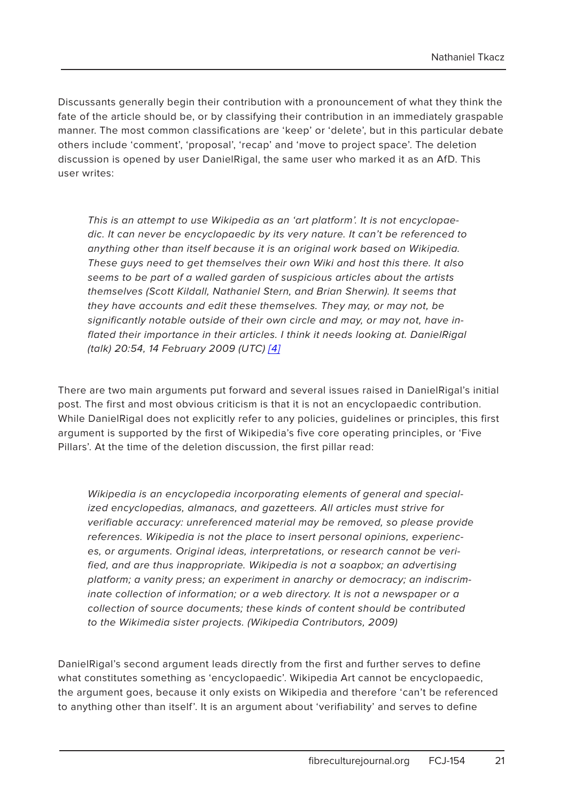Discussants generally begin their contribution with a pronouncement of what they think the fate of the article should be, or by classifying their contribution in an immediately graspable manner. The most common classifications are 'keep' or 'delete', but in this particular debate others include 'comment', 'proposal', 'recap' and 'move to project space'. The deletion discussion is opened by user DanielRigal, the same user who marked it as an AfD. This user writes:

This is an attempt to use Wikipedia as an 'art platform'. It is not encyclopaedic. It can never be encyclopaedic by its very nature. It can't be referenced to anything other than itself because it is an original work based on Wikipedia. These guys need to get themselves their own Wiki and host this there. It also seems to be part of a walled garden of suspicious articles about the artists themselves (Scott Kildall, Nathaniel Stern, and Brian Sherwin). It seems that they have accounts and edit these themselves. They may, or may not, be significantly notable outside of their own circle and may, or may not, have inflated their importance in their articles. I think it needs looking at. DanielRigal (talk) 20:54, 14 February 2009 (UTC) [4]

There are two main arguments put forward and several issues raised in DanielRigal's initial post. The first and most obvious criticism is that it is not an encyclopaedic contribution. While DanielRigal does not explicitly refer to any policies, guidelines or principles, this first argument is supported by the first of Wikipedia's five core operating principles, or 'Five Pillars'. At the time of the deletion discussion, the first pillar read:

Wikipedia is an encyclopedia incorporating elements of general and specialized encyclopedias, almanacs, and gazetteers. All articles must strive for verifiable accuracy: unreferenced material may be removed, so please provide references. Wikipedia is not the place to insert personal opinions, experiences, or arguments. Original ideas, interpretations, or research cannot be verified, and are thus inappropriate. Wikipedia is not a soapbox; an advertising platform; a vanity press; an experiment in anarchy or democracy; an indiscriminate collection of information; or a web directory. It is not a newspaper or a collection of source documents; these kinds of content should be contributed to the Wikimedia sister projects. (Wikipedia Contributors, 2009)

DanielRigal's second argument leads directly from the first and further serves to define what constitutes something as 'encyclopaedic'. Wikipedia Art cannot be encyclopaedic, the argument goes, because it only exists on Wikipedia and therefore 'can't be referenced to anything other than itself'. It is an argument about 'verifiability' and serves to define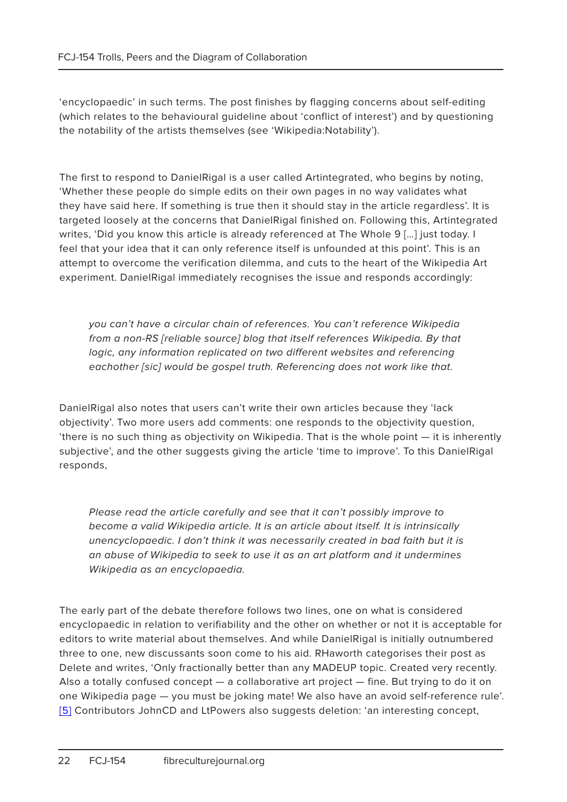'encyclopaedic' in such terms. The post finishes by flagging concerns about self-editing (which relates to the behavioural guideline about 'conflict of interest') and by questioning the notability of the artists themselves (see 'Wikipedia:Notability').

The first to respond to DanielRigal is a user called Artintegrated, who begins by noting, 'Whether these people do simple edits on their own pages in no way validates what they have said here. If something is true then it should stay in the article regardless'. It is targeted loosely at the concerns that DanielRigal finished on. Following this, Artintegrated writes, 'Did you know this article is already referenced at The Whole 9 […] just today. I feel that your idea that it can only reference itself is unfounded at this point'. This is an attempt to overcome the verification dilemma, and cuts to the heart of the Wikipedia Art experiment. DanielRigal immediately recognises the issue and responds accordingly:

you can't have a circular chain of references. You can't reference Wikipedia from a non-RS [reliable source] blog that itself references Wikipedia. By that logic, any information replicated on two different websites and referencing eachother [sic] would be gospel truth. Referencing does not work like that.

DanielRigal also notes that users can't write their own articles because they 'lack objectivity'. Two more users add comments: one responds to the objectivity question, 'there is no such thing as objectivity on Wikipedia. That is the whole point — it is inherently subjective', and the other suggests giving the article 'time to improve'. To this DanielRigal responds,

Please read the article carefully and see that it can't possibly improve to become a valid Wikipedia article. It is an article about itself. It is intrinsically unencyclopaedic. I don't think it was necessarily created in bad faith but it is an abuse of Wikipedia to seek to use it as an art platform and it undermines Wikipedia as an encyclopaedia.

The early part of the debate therefore follows two lines, one on what is considered encyclopaedic in relation to verifiability and the other on whether or not it is acceptable for editors to write material about themselves. And while DanielRigal is initially outnumbered three to one, new discussants soon come to his aid. RHaworth categorises their post as Delete and writes, 'Only fractionally better than any MADEUP topic. Created very recently. Also a totally confused concept — a collaborative art project — fine. But trying to do it on one Wikipedia page — you must be joking mate! We also have an avoid self-reference rule'. [5] Contributors JohnCD and LtPowers also suggests deletion: 'an interesting concept,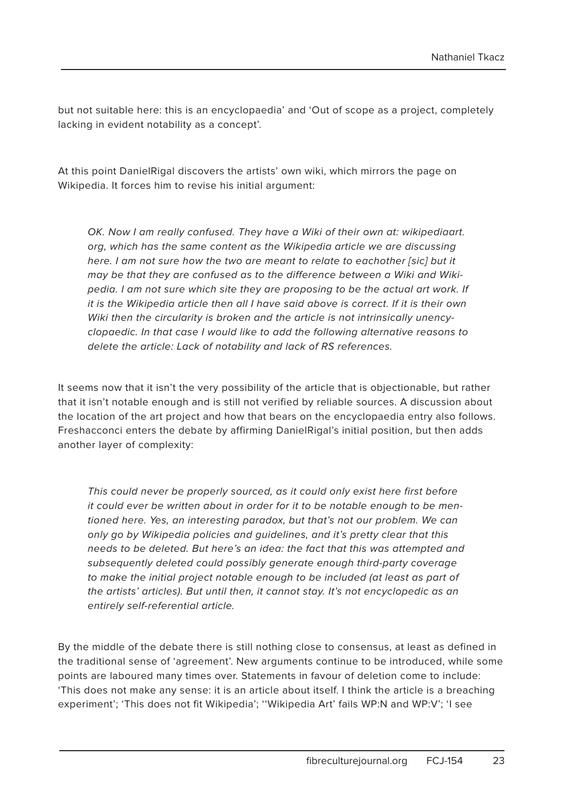but not suitable here: this is an encyclopaedia' and 'Out of scope as a project, completely lacking in evident notability as a concept'.

At this point DanielRigal discovers the artists' own wiki, which mirrors the page on Wikipedia. It forces him to revise his initial argument:

OK. Now I am really confused. They have a Wiki of their own at: wikipediaart. org, which has the same content as the Wikipedia article we are discussing here. I am not sure how the two are meant to relate to eachother [sic] but it may be that they are confused as to the difference between a Wiki and Wikipedia. I am not sure which site they are proposing to be the actual art work. If it is the Wikipedia article then all I have said above is correct. If it is their own Wiki then the circularity is broken and the article is not intrinsically unencyclopaedic. In that case I would like to add the following alternative reasons to delete the article: Lack of notability and lack of RS references.

It seems now that it isn't the very possibility of the article that is objectionable, but rather that it isn't notable enough and is still not verified by reliable sources. A discussion about the location of the art project and how that bears on the encyclopaedia entry also follows. Freshacconci enters the debate by affirming DanielRigal's initial position, but then adds another layer of complexity:

This could never be properly sourced, as it could only exist here first before it could ever be written about in order for it to be notable enough to be mentioned here. Yes, an interesting paradox, but that's not our problem. We can only go by Wikipedia policies and guidelines, and it's pretty clear that this needs to be deleted. But here's an idea: the fact that this was attempted and subsequently deleted could possibly generate enough third-party coverage to make the initial project notable enough to be included (at least as part of the artists' articles). But until then, it cannot stay. It's not encyclopedic as an entirely self-referential article.

By the middle of the debate there is still nothing close to consensus, at least as defined in the traditional sense of 'agreement'. New arguments continue to be introduced, while some points are laboured many times over. Statements in favour of deletion come to include: 'This does not make any sense: it is an article about itself. I think the article is a breaching experiment'; 'This does not fit Wikipedia'; ''Wikipedia Art' fails WP:N and WP:V'; 'I see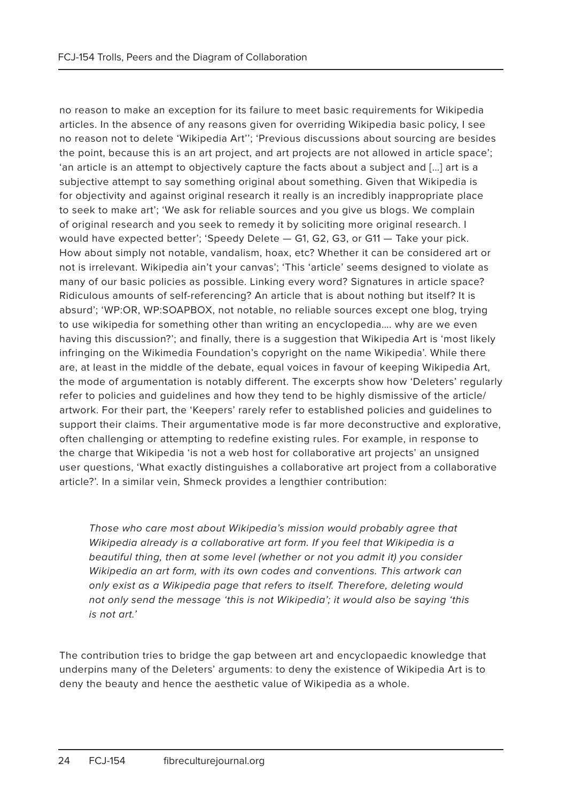no reason to make an exception for its failure to meet basic requirements for Wikipedia articles. In the absence of any reasons given for overriding Wikipedia basic policy, I see no reason not to delete 'Wikipedia Art''; 'Previous discussions about sourcing are besides the point, because this is an art project, and art projects are not allowed in article space'; 'an article is an attempt to objectively capture the facts about a subject and […] art is a subjective attempt to say something original about something. Given that Wikipedia is for objectivity and against original research it really is an incredibly inappropriate place to seek to make art'; 'We ask for reliable sources and you give us blogs. We complain of original research and you seek to remedy it by soliciting more original research. I would have expected better'; 'Speedy Delete — G1, G2, G3, or G11 — Take your pick. How about simply not notable, vandalism, hoax, etc? Whether it can be considered art or not is irrelevant. Wikipedia ain't your canvas'; 'This 'article' seems designed to violate as many of our basic policies as possible. Linking every word? Signatures in article space? Ridiculous amounts of self-referencing? An article that is about nothing but itself? It is absurd'; 'WP:OR, WP:SOAPBOX, not notable, no reliable sources except one blog, trying to use wikipedia for something other than writing an encyclopedia…. why are we even having this discussion?'; and finally, there is a suggestion that Wikipedia Art is 'most likely infringing on the Wikimedia Foundation's copyright on the name Wikipedia'. While there are, at least in the middle of the debate, equal voices in favour of keeping Wikipedia Art, the mode of argumentation is notably different. The excerpts show how 'Deleters' regularly refer to policies and guidelines and how they tend to be highly dismissive of the article/ artwork. For their part, the 'Keepers' rarely refer to established policies and guidelines to support their claims. Their argumentative mode is far more deconstructive and explorative, often challenging or attempting to redefine existing rules. For example, in response to the charge that Wikipedia 'is not a web host for collaborative art projects' an unsigned user questions, 'What exactly distinguishes a collaborative art project from a collaborative article?'. In a similar vein, Shmeck provides a lengthier contribution:

Those who care most about Wikipedia's mission would probably agree that Wikipedia already is a collaborative art form. If you feel that Wikipedia is a beautiful thing, then at some level (whether or not you admit it) you consider Wikipedia an art form, with its own codes and conventions. This artwork can only exist as a Wikipedia page that refers to itself. Therefore, deleting would not only send the message 'this is not Wikipedia'; it would also be saying 'this is not art.'

The contribution tries to bridge the gap between art and encyclopaedic knowledge that underpins many of the Deleters' arguments: to deny the existence of Wikipedia Art is to deny the beauty and hence the aesthetic value of Wikipedia as a whole.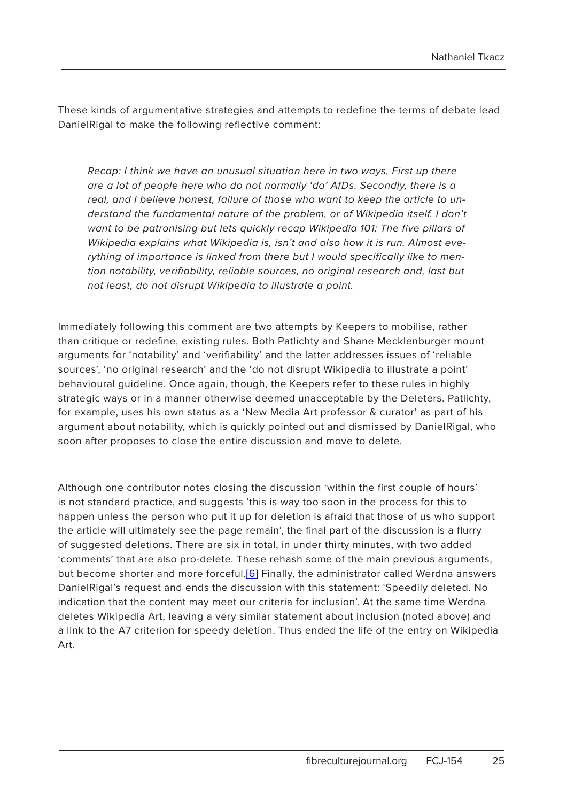These kinds of argumentative strategies and attempts to redefine the terms of debate lead DanielRigal to make the following reflective comment:

Recap: I think we have an unusual situation here in two ways. First up there are a lot of people here who do not normally 'do' AfDs. Secondly, there is a real, and I believe honest, failure of those who want to keep the article to understand the fundamental nature of the problem, or of Wikipedia itself. I don't want to be patronising but lets quickly recap Wikipedia 101: The five pillars of Wikipedia explains what Wikipedia is, isn't and also how it is run. Almost everything of importance is linked from there but I would specifically like to mention notability, verifiability, reliable sources, no original research and, last but not least, do not disrupt Wikipedia to illustrate a point.

Immediately following this comment are two attempts by Keepers to mobilise, rather than critique or redefine, existing rules. Both Patlichty and Shane Mecklenburger mount arguments for 'notability' and 'verifiability' and the latter addresses issues of 'reliable sources', 'no original research' and the 'do not disrupt Wikipedia to illustrate a point' behavioural guideline. Once again, though, the Keepers refer to these rules in highly strategic ways or in a manner otherwise deemed unacceptable by the Deleters. Patlichty, for example, uses his own status as a 'New Media Art professor & curator' as part of his argument about notability, which is quickly pointed out and dismissed by DanielRigal, who soon after proposes to close the entire discussion and move to delete.

Although one contributor notes closing the discussion 'within the first couple of hours' is not standard practice, and suggests 'this is way too soon in the process for this to happen unless the person who put it up for deletion is afraid that those of us who support the article will ultimately see the page remain', the final part of the discussion is a flurry of suggested deletions. There are six in total, in under thirty minutes, with two added 'comments' that are also pro-delete. These rehash some of the main previous arguments, but become shorter and more forceful.[6] Finally, the administrator called Werdna answers DanielRigal's request and ends the discussion with this statement: 'Speedily deleted. No indication that the content may meet our criteria for inclusion'. At the same time Werdna deletes Wikipedia Art, leaving a very similar statement about inclusion (noted above) and a link to the A7 criterion for speedy deletion. Thus ended the life of the entry on Wikipedia Art.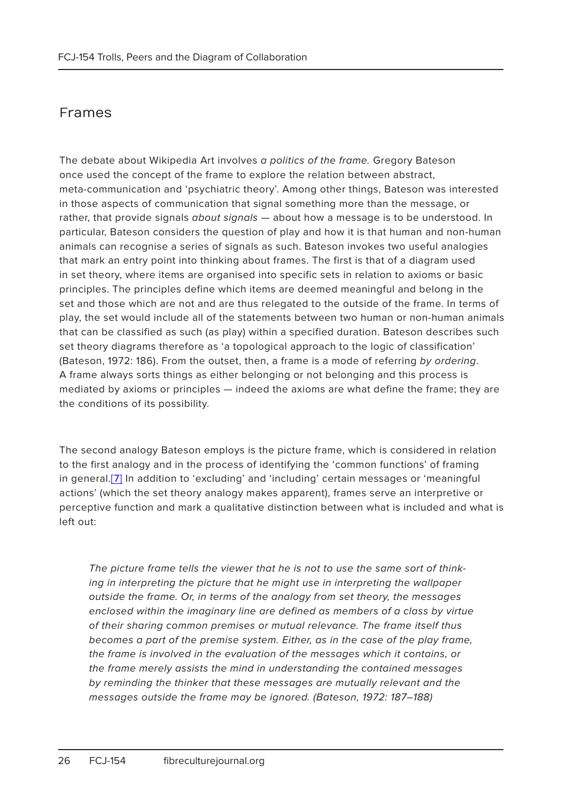#### Frames

The debate about Wikipedia Art involves a politics of the frame. Gregory Bateson once used the concept of the frame to explore the relation between abstract, meta-communication and 'psychiatric theory'. Among other things, Bateson was interested in those aspects of communication that signal something more than the message, or rather, that provide signals *about signals* - about how a message is to be understood. In particular, Bateson considers the question of play and how it is that human and non-human animals can recognise a series of signals as such. Bateson invokes two useful analogies that mark an entry point into thinking about frames. The first is that of a diagram used in set theory, where items are organised into specific sets in relation to axioms or basic principles. The principles define which items are deemed meaningful and belong in the set and those which are not and are thus relegated to the outside of the frame. In terms of play, the set would include all of the statements between two human or non-human animals that can be classified as such (as play) within a specified duration. Bateson describes such set theory diagrams therefore as 'a topological approach to the logic of classification' (Bateson, 1972: 186). From the outset, then, a frame is a mode of referring by ordering. A frame always sorts things as either belonging or not belonging and this process is mediated by axioms or principles — indeed the axioms are what define the frame; they are the conditions of its possibility.

The second analogy Bateson employs is the picture frame, which is considered in relation to the first analogy and in the process of identifying the 'common functions' of framing in general.[7] In addition to 'excluding' and 'including' certain messages or 'meaningful actions' (which the set theory analogy makes apparent), frames serve an interpretive or perceptive function and mark a qualitative distinction between what is included and what is left out:

The picture frame tells the viewer that he is not to use the same sort of thinking in interpreting the picture that he might use in interpreting the wallpaper outside the frame. Or, in terms of the analogy from set theory, the messages enclosed within the imaginary line are defined as members of a class by virtue of their sharing common premises or mutual relevance. The frame itself thus becomes a part of the premise system. Either, as in the case of the play frame, the frame is involved in the evaluation of the messages which it contains, or the frame merely assists the mind in understanding the contained messages by reminding the thinker that these messages are mutually relevant and the messages outside the frame may be ignored. (Bateson, 1972: 187–188)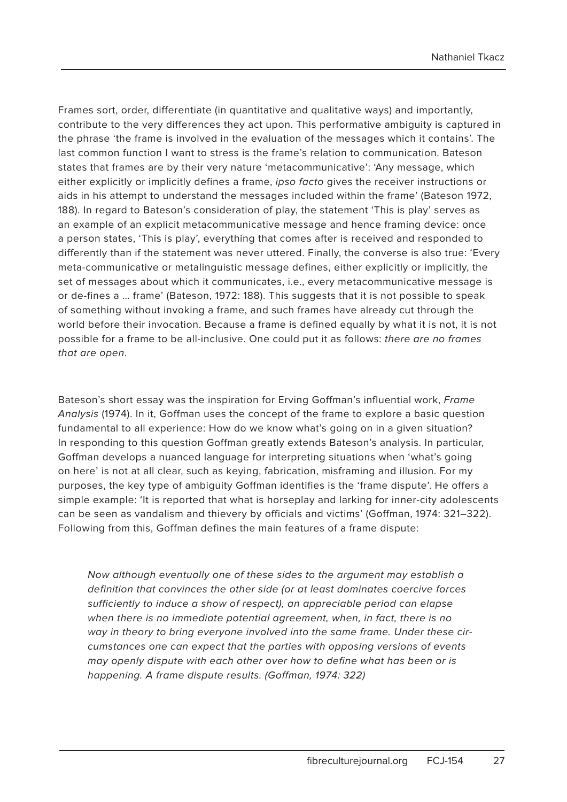Frames sort, order, differentiate (in quantitative and qualitative ways) and importantly, contribute to the very differences they act upon. This performative ambiguity is captured in the phrase 'the frame is involved in the evaluation of the messages which it contains'. The last common function I want to stress is the frame's relation to communication. Bateson states that frames are by their very nature 'metacommunicative': 'Any message, which either explicitly or implicitly defines a frame, ipso facto gives the receiver instructions or aids in his attempt to understand the messages included within the frame' (Bateson 1972, 188). In regard to Bateson's consideration of play, the statement 'This is play' serves as an example of an explicit metacommunicative message and hence framing device: once a person states, 'This is play', everything that comes after is received and responded to differently than if the statement was never uttered. Finally, the converse is also true: 'Every meta-communicative or metalinguistic message defines, either explicitly or implicitly, the set of messages about which it communicates, i.e., every metacommunicative message is or de-fines a … frame' (Bateson, 1972: 188). This suggests that it is not possible to speak of something without invoking a frame, and such frames have already cut through the world before their invocation. Because a frame is defined equally by what it is not, it is not possible for a frame to be all-inclusive. One could put it as follows: there are no frames that are open.

Bateson's short essay was the inspiration for Erving Goffman's influential work, Frame Analysis (1974). In it, Goffman uses the concept of the frame to explore a basic question fundamental to all experience: How do we know what's going on in a given situation? In responding to this question Goffman greatly extends Bateson's analysis. In particular, Goffman develops a nuanced language for interpreting situations when 'what's going on here' is not at all clear, such as keying, fabrication, misframing and illusion. For my purposes, the key type of ambiguity Goffman identifies is the 'frame dispute'. He offers a simple example: 'It is reported that what is horseplay and larking for inner-city adolescents can be seen as vandalism and thievery by officials and victims' (Goffman, 1974: 321–322). Following from this, Goffman defines the main features of a frame dispute:

Now although eventually one of these sides to the argument may establish a definition that convinces the other side (or at least dominates coercive forces sufficiently to induce a show of respect), an appreciable period can elapse when there is no immediate potential agreement, when, in fact, there is no way in theory to bring everyone involved into the same frame. Under these circumstances one can expect that the parties with opposing versions of events may openly dispute with each other over how to define what has been or is happening. A frame dispute results. (Goffman, 1974: 322)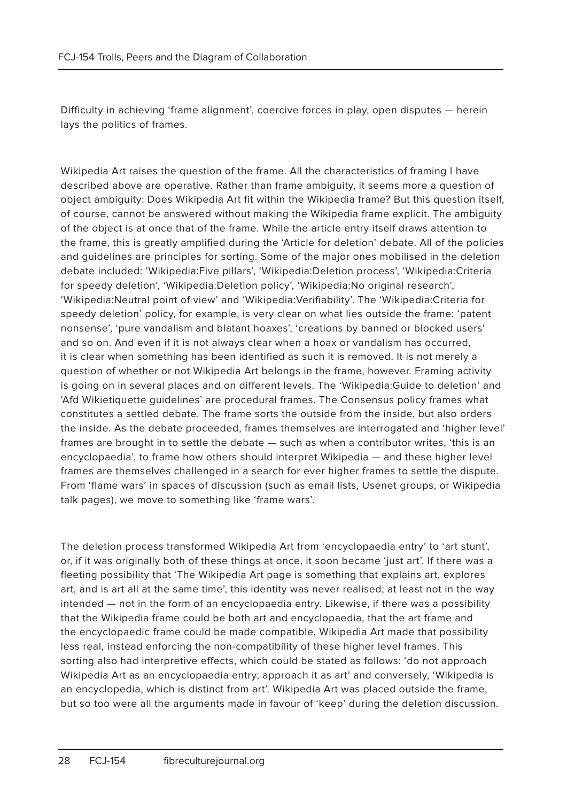Difficulty in achieving 'frame alignment', coercive forces in play, open disputes — herein lays the politics of frames.

Wikipedia Art raises the question of the frame. All the characteristics of framing I have described above are operative. Rather than frame ambiguity, it seems more a question of object ambiguity: Does Wikipedia Art fit within the Wikipedia frame? But this question itself, of course, cannot be answered without making the Wikipedia frame explicit. The ambiguity of the object is at once that of the frame. While the article entry itself draws attention to the frame, this is greatly amplified during the 'Article for deletion' debate. All of the policies and guidelines are principles for sorting. Some of the major ones mobilised in the deletion debate included: 'Wikipedia:Five pillars', 'Wikipedia:Deletion process', 'Wikipedia:Criteria for speedy deletion', 'Wikipedia:Deletion policy', 'Wikipedia:No original research', 'Wikipedia:Neutral point of view' and 'Wikipedia:Verifiability'. The 'Wikipedia:Criteria for speedy deletion' policy, for example, is very clear on what lies outside the frame: 'patent nonsense', 'pure vandalism and blatant hoaxes', 'creations by banned or blocked users' and so on. And even if it is not always clear when a hoax or vandalism has occurred, it is clear when something has been identified as such it is removed. It is not merely a question of whether or not Wikipedia Art belongs in the frame, however. Framing activity is going on in several places and on different levels. The 'Wikipedia:Guide to deletion' and 'Afd Wikietiquette guidelines' are procedural frames. The Consensus policy frames what constitutes a settled debate. The frame sorts the outside from the inside, but also orders the inside. As the debate proceeded, frames themselves are interrogated and 'higher level' frames are brought in to settle the debate — such as when a contributor writes, 'this is an encyclopaedia', to frame how others should interpret Wikipedia — and these higher level frames are themselves challenged in a search for ever higher frames to settle the dispute. From 'flame wars' in spaces of discussion (such as email lists, Usenet groups, or Wikipedia talk pages), we move to something like 'frame wars'.

The deletion process transformed Wikipedia Art from 'encyclopaedia entry' to 'art stunt', or, if it was originally both of these things at once, it soon became 'just art'. If there was a fleeting possibility that 'The Wikipedia Art page is something that explains art, explores art, and is art all at the same time', this identity was never realised; at least not in the way intended — not in the form of an encyclopaedia entry. Likewise, if there was a possibility that the Wikipedia frame could be both art and encyclopaedia, that the art frame and the encyclopaedic frame could be made compatible, Wikipedia Art made that possibility less real, instead enforcing the non-compatibility of these higher level frames. This sorting also had interpretive effects, which could be stated as follows: 'do not approach Wikipedia Art as an encyclopaedia entry; approach it as art' and conversely, 'Wikipedia is an encyclopedia, which is distinct from art'. Wikipedia Art was placed outside the frame, but so too were all the arguments made in favour of 'keep' during the deletion discussion.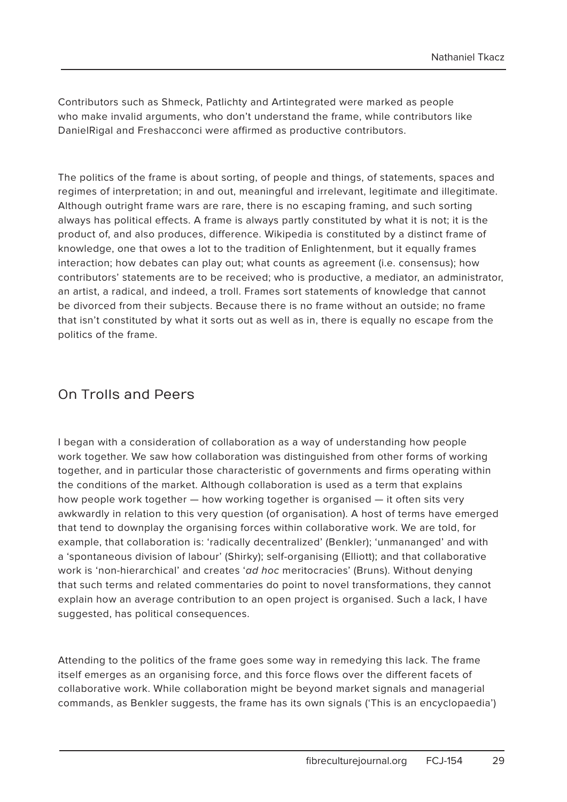Contributors such as Shmeck, Patlichty and Artintegrated were marked as people who make invalid arguments, who don't understand the frame, while contributors like DanielRigal and Freshacconci were affirmed as productive contributors.

The politics of the frame is about sorting, of people and things, of statements, spaces and regimes of interpretation; in and out, meaningful and irrelevant, legitimate and illegitimate. Although outright frame wars are rare, there is no escaping framing, and such sorting always has political effects. A frame is always partly constituted by what it is not; it is the product of, and also produces, difference. Wikipedia is constituted by a distinct frame of knowledge, one that owes a lot to the tradition of Enlightenment, but it equally frames interaction; how debates can play out; what counts as agreement (i.e. consensus); how contributors' statements are to be received; who is productive, a mediator, an administrator, an artist, a radical, and indeed, a troll. Frames sort statements of knowledge that cannot be divorced from their subjects. Because there is no frame without an outside; no frame that isn't constituted by what it sorts out as well as in, there is equally no escape from the politics of the frame.

#### On Trolls and Peers

I began with a consideration of collaboration as a way of understanding how people work together. We saw how collaboration was distinguished from other forms of working together, and in particular those characteristic of governments and firms operating within the conditions of the market. Although collaboration is used as a term that explains how people work together — how working together is organised — it often sits very awkwardly in relation to this very question (of organisation). A host of terms have emerged that tend to downplay the organising forces within collaborative work. We are told, for example, that collaboration is: 'radically decentralized' (Benkler); 'unmananged' and with a 'spontaneous division of labour' (Shirky); self-organising (Elliott); and that collaborative work is 'non-hierarchical' and creates 'ad hoc meritocracies' (Bruns). Without denying that such terms and related commentaries do point to novel transformations, they cannot explain how an average contribution to an open project is organised. Such a lack, I have suggested, has political consequences.

Attending to the politics of the frame goes some way in remedying this lack. The frame itself emerges as an organising force, and this force flows over the different facets of collaborative work. While collaboration might be beyond market signals and managerial commands, as Benkler suggests, the frame has its own signals ('This is an encyclopaedia')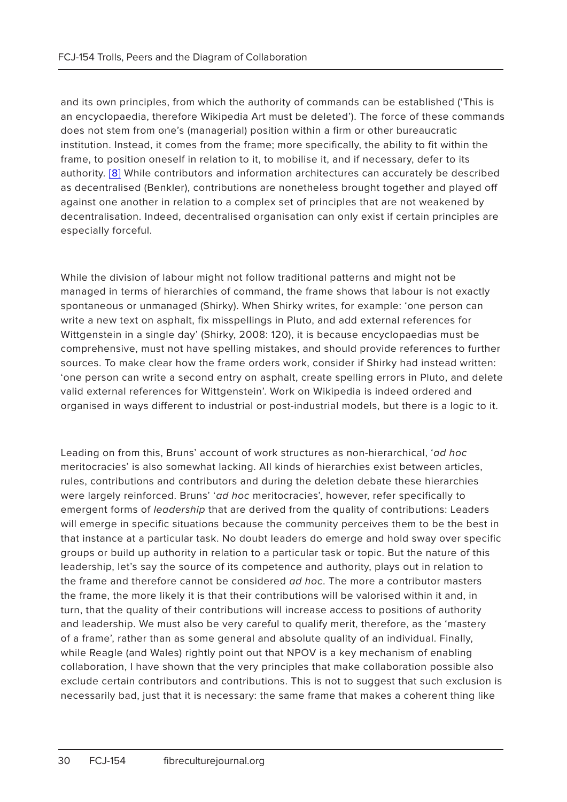and its own principles, from which the authority of commands can be established ('This is an encyclopaedia, therefore Wikipedia Art must be deleted'). The force of these commands does not stem from one's (managerial) position within a firm or other bureaucratic institution. Instead, it comes from the frame; more specifically, the ability to fit within the frame, to position oneself in relation to it, to mobilise it, and if necessary, defer to its authority. [8] While contributors and information architectures can accurately be described as decentralised (Benkler), contributions are nonetheless brought together and played off against one another in relation to a complex set of principles that are not weakened by decentralisation. Indeed, decentralised organisation can only exist if certain principles are especially forceful.

While the division of labour might not follow traditional patterns and might not be managed in terms of hierarchies of command, the frame shows that labour is not exactly spontaneous or unmanaged (Shirky). When Shirky writes, for example: 'one person can write a new text on asphalt, fix misspellings in Pluto, and add external references for Wittgenstein in a single day' (Shirky, 2008: 120), it is because encyclopaedias must be comprehensive, must not have spelling mistakes, and should provide references to further sources. To make clear how the frame orders work, consider if Shirky had instead written: 'one person can write a second entry on asphalt, create spelling errors in Pluto, and delete valid external references for Wittgenstein'. Work on Wikipedia is indeed ordered and organised in ways different to industrial or post-industrial models, but there is a logic to it.

Leading on from this, Bruns' account of work structures as non-hierarchical, 'ad hoc meritocracies' is also somewhat lacking. All kinds of hierarchies exist between articles, rules, contributions and contributors and during the deletion debate these hierarchies were largely reinforced. Bruns' 'ad hoc meritocracies', however, refer specifically to emergent forms of leadership that are derived from the quality of contributions: Leaders will emerge in specific situations because the community perceives them to be the best in that instance at a particular task. No doubt leaders do emerge and hold sway over specific groups or build up authority in relation to a particular task or topic. But the nature of this leadership, let's say the source of its competence and authority, plays out in relation to the frame and therefore cannot be considered ad hoc. The more a contributor masters the frame, the more likely it is that their contributions will be valorised within it and, in turn, that the quality of their contributions will increase access to positions of authority and leadership. We must also be very careful to qualify merit, therefore, as the 'mastery of a frame', rather than as some general and absolute quality of an individual. Finally, while Reagle (and Wales) rightly point out that NPOV is a key mechanism of enabling collaboration, I have shown that the very principles that make collaboration possible also exclude certain contributors and contributions. This is not to suggest that such exclusion is necessarily bad, just that it is necessary: the same frame that makes a coherent thing like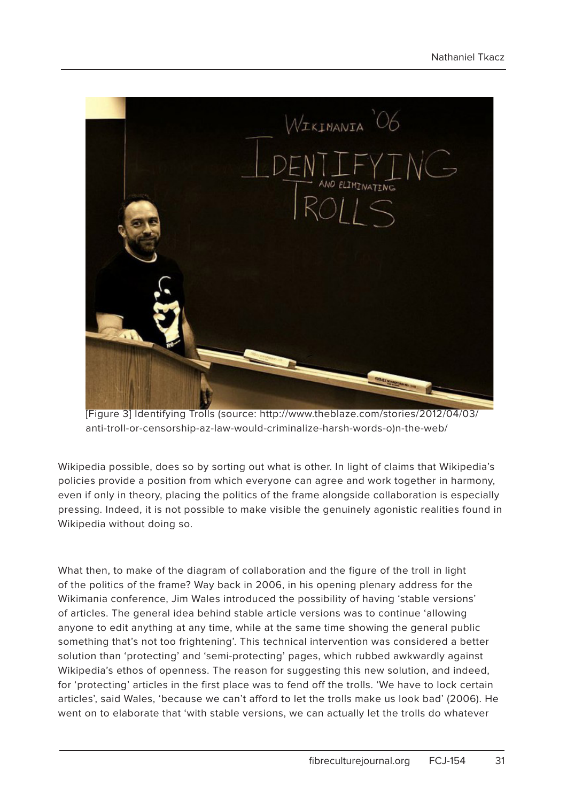

[Figure 3] Identifying Trolls (source: http://www.theblaze.com/stories/2012/04/03/ anti-troll-or-censorship-az-law-would-criminalize-harsh-words-o)n-the-web/

Wikipedia possible, does so by sorting out what is other. In light of claims that Wikipedia's policies provide a position from which everyone can agree and work together in harmony, even if only in theory, placing the politics of the frame alongside collaboration is especially pressing. Indeed, it is not possible to make visible the genuinely agonistic realities found in Wikipedia without doing so.

What then, to make of the diagram of collaboration and the figure of the troll in light of the politics of the frame? Way back in 2006, in his opening plenary address for the Wikimania conference, Jim Wales introduced the possibility of having 'stable versions' of articles. The general idea behind stable article versions was to continue 'allowing anyone to edit anything at any time, while at the same time showing the general public something that's not too frightening'. This technical intervention was considered a better solution than 'protecting' and 'semi-protecting' pages, which rubbed awkwardly against Wikipedia's ethos of openness. The reason for suggesting this new solution, and indeed, for 'protecting' articles in the first place was to fend off the trolls. 'We have to lock certain articles', said Wales, 'because we can't afford to let the trolls make us look bad' (2006). He went on to elaborate that 'with stable versions, we can actually let the trolls do whatever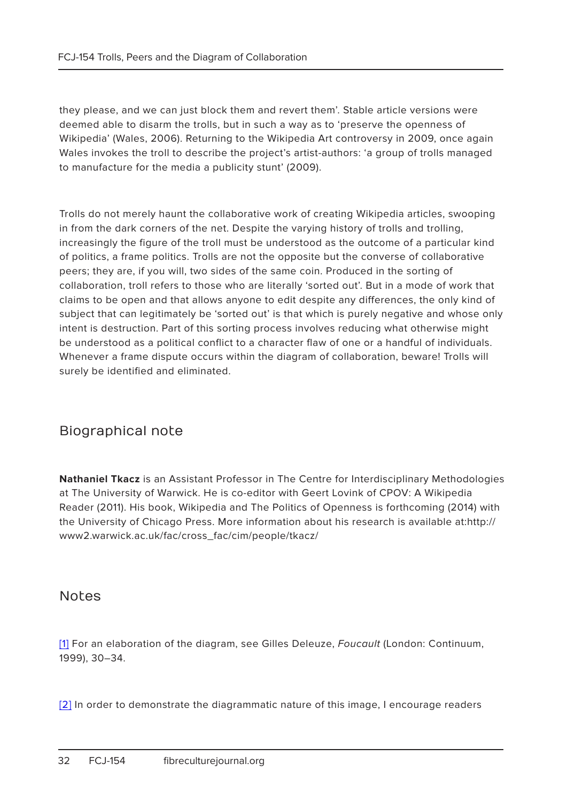they please, and we can just block them and revert them'. Stable article versions were deemed able to disarm the trolls, but in such a way as to 'preserve the openness of Wikipedia' (Wales, 2006). Returning to the Wikipedia Art controversy in 2009, once again Wales invokes the troll to describe the project's artist-authors: 'a group of trolls managed to manufacture for the media a publicity stunt' (2009).

Trolls do not merely haunt the collaborative work of creating Wikipedia articles, swooping in from the dark corners of the net. Despite the varying history of trolls and trolling, increasingly the figure of the troll must be understood as the outcome of a particular kind of politics, a frame politics. Trolls are not the opposite but the converse of collaborative peers; they are, if you will, two sides of the same coin. Produced in the sorting of collaboration, troll refers to those who are literally 'sorted out'. But in a mode of work that claims to be open and that allows anyone to edit despite any differences, the only kind of subject that can legitimately be 'sorted out' is that which is purely negative and whose only intent is destruction. Part of this sorting process involves reducing what otherwise might be understood as a political conflict to a character flaw of one or a handful of individuals. Whenever a frame dispute occurs within the diagram of collaboration, beware! Trolls will surely be identified and eliminated.

#### Biographical note

**Nathaniel Tkacz** is an Assistant Professor in The Centre for Interdisciplinary Methodologies at The University of Warwick. He is co-editor with Geert Lovink of CPOV: A Wikipedia Reader (2011). His book, Wikipedia and The Politics of Openness is forthcoming (2014) with the University of Chicago Press. More information about his research is available at:http:// www2.warwick.ac.uk/fac/cross\_fac/cim/people/tkacz/

#### Notes

[1] For an elaboration of the diagram, see Gilles Deleuze, Foucault (London: Continuum, 1999), 30–34.

[2] In order to demonstrate the diagrammatic nature of this image, I encourage readers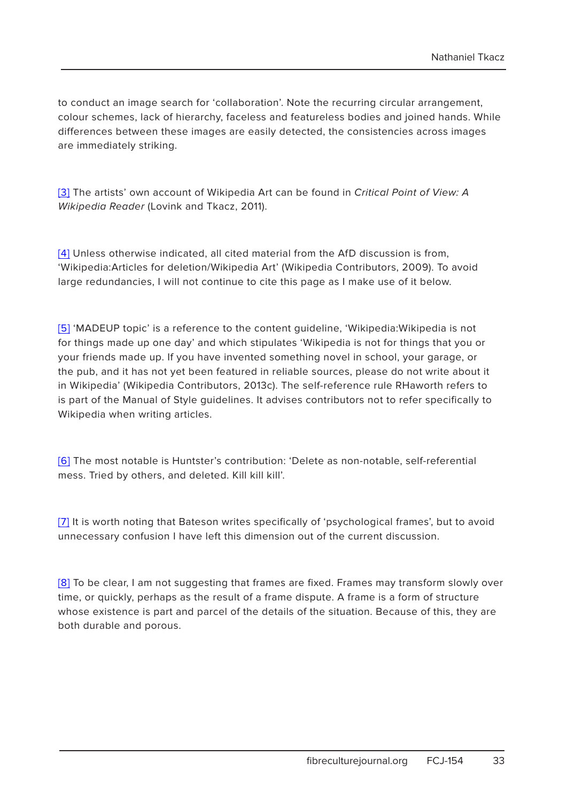to conduct an image search for 'collaboration'. Note the recurring circular arrangement, colour schemes, lack of hierarchy, faceless and featureless bodies and joined hands. While differences between these images are easily detected, the consistencies across images are immediately striking.

[3] The artists' own account of Wikipedia Art can be found in Critical Point of View: A Wikipedia Reader (Lovink and Tkacz, 2011).

[4] Unless otherwise indicated, all cited material from the AfD discussion is from, 'Wikipedia:Articles for deletion/Wikipedia Art' (Wikipedia Contributors, 2009). To avoid large redundancies, I will not continue to cite this page as I make use of it below.

[5] 'MADEUP topic' is a reference to the content guideline, 'Wikipedia:Wikipedia is not for things made up one day' and which stipulates 'Wikipedia is not for things that you or your friends made up. If you have invented something novel in school, your garage, or the pub, and it has not yet been featured in reliable sources, please do not write about it in Wikipedia' (Wikipedia Contributors, 2013c). The self-reference rule RHaworth refers to is part of the Manual of Style guidelines. It advises contributors not to refer specifically to Wikipedia when writing articles.

[6] The most notable is Huntster's contribution: 'Delete as non-notable, self-referential mess. Tried by others, and deleted. Kill kill kill'.

[7] It is worth noting that Bateson writes specifically of 'psychological frames', but to avoid unnecessary confusion I have left this dimension out of the current discussion.

[8] To be clear, I am not suggesting that frames are fixed. Frames may transform slowly over time, or quickly, perhaps as the result of a frame dispute. A frame is a form of structure whose existence is part and parcel of the details of the situation. Because of this, they are both durable and porous.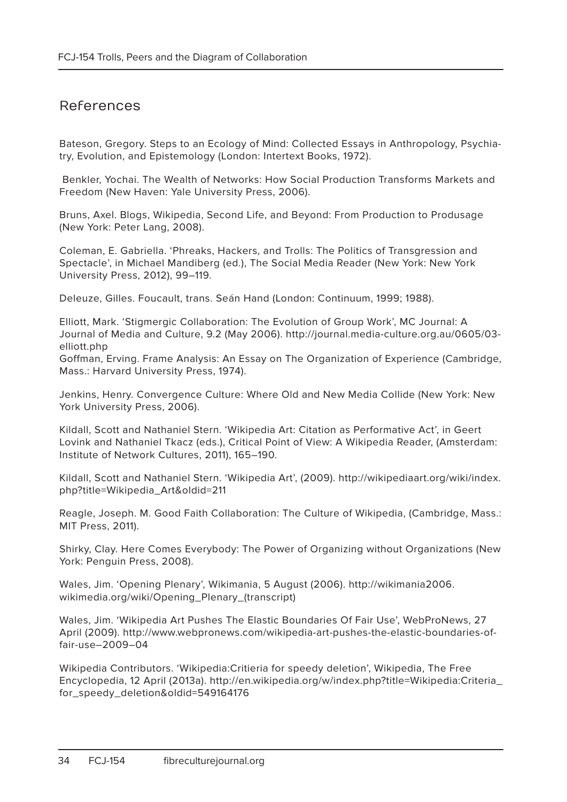#### References

Bateson, Gregory. Steps to an Ecology of Mind: Collected Essays in Anthropology, Psychiatry, Evolution, and Epistemology (London: Intertext Books, 1972).

 Benkler, Yochai. The Wealth of Networks: How Social Production Transforms Markets and Freedom (New Haven: Yale University Press, 2006).

Bruns, Axel. Blogs, Wikipedia, Second Life, and Beyond: From Production to Produsage (New York: Peter Lang, 2008).

Coleman, E. Gabriella. 'Phreaks, Hackers, and Trolls: The Politics of Transgression and Spectacle', in Michael Mandiberg (ed.), The Social Media Reader (New York: New York University Press, 2012), 99–119.

Deleuze, Gilles. Foucault, trans. Seán Hand (London: Continuum, 1999; 1988).

Elliott, Mark. 'Stigmergic Collaboration: The Evolution of Group Work', MC Journal: A Journal of Media and Culture, 9.2 (May 2006). http://journal.media-culture.org.au/0605/03 elliott.php

Goffman, Erving. Frame Analysis: An Essay on The Organization of Experience (Cambridge, Mass.: Harvard University Press, 1974).

Jenkins, Henry. Convergence Culture: Where Old and New Media Collide (New York: New York University Press, 2006).

Kildall, Scott and Nathaniel Stern. 'Wikipedia Art: Citation as Performative Act', in Geert Lovink and Nathaniel Tkacz (eds.), Critical Point of View: A Wikipedia Reader, (Amsterdam: Institute of Network Cultures, 2011), 165–190.

Kildall, Scott and Nathaniel Stern. 'Wikipedia Art', (2009). http://wikipediaart.org/wiki/index. php?title=Wikipedia\_Art&oldid=211

Reagle, Joseph. M. Good Faith Collaboration: The Culture of Wikipedia, (Cambridge, Mass.: MIT Press, 2011).

Shirky, Clay. Here Comes Everybody: The Power of Organizing without Organizations (New York: Penguin Press, 2008).

Wales, Jim. 'Opening Plenary', Wikimania, 5 August (2006). http://wikimania2006. wikimedia.org/wiki/Opening\_Plenary\_(transcript)

Wales, Jim. 'Wikipedia Art Pushes The Elastic Boundaries Of Fair Use', WebProNews, 27 April (2009). http://www.webpronews.com/wikipedia-art-pushes-the-elastic-boundaries-offair-use–2009–04

Wikipedia Contributors. 'Wikipedia:Critieria for speedy deletion', Wikipedia, The Free Encyclopedia, 12 April (2013a). http://en.wikipedia.org/w/index.php?title=Wikipedia:Criteria\_ for\_speedy\_deletion&oldid=549164176